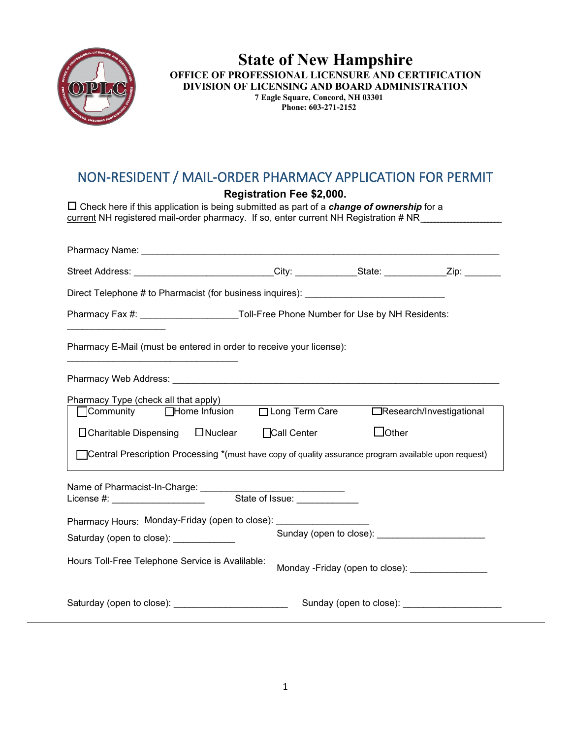

## **State of New Hampshire OFFICE OF PROFESSIONAL LICENSURE AND CERTIFICATION DIVISION OF LICENSING AND BOARD ADMINISTRATION 7 Eagle Square, Concord, NH 03301 Phone: 603-271-2152**

## NON-RESIDENT / MAIL-ORDER PHARMACY APPLICATION FOR PERMIT

**Registration Fee \$2,000.**

 Check here if this application is being submitted as part of a *change of ownership* for a current NH registered mail-order pharmacy. If so, enter current NH Registration # NR

| Street Address: ___________________________City: _____________State: _____________Zip: ____________                                                                                                                                                      |                    |                                                                   |                                                 |
|----------------------------------------------------------------------------------------------------------------------------------------------------------------------------------------------------------------------------------------------------------|--------------------|-------------------------------------------------------------------|-------------------------------------------------|
| Direct Telephone # to Pharmacist (for business inquires): _______________________                                                                                                                                                                        |                    |                                                                   |                                                 |
| Pharmacy Fax #: ________________________Toll-Free Phone Number for Use by NH Residents:                                                                                                                                                                  |                    |                                                                   |                                                 |
| Pharmacy E-Mail (must be entered in order to receive your license):                                                                                                                                                                                      |                    |                                                                   |                                                 |
|                                                                                                                                                                                                                                                          |                    |                                                                   |                                                 |
| Pharmacy Type (check all that apply)<br>Community □Home Infusion □Long Term Care □Research/Investigational<br>□ Charitable Dispensing □ Nuclear<br>Central Prescription Processing *(must have copy of quality assurance program available upon request) | $\Box$ Call Center | $\Box$ Other                                                      |                                                 |
| License #: ______________________                                                                                                                                                                                                                        | State of Issue:    |                                                                   |                                                 |
| Pharmacy Hours: Monday-Friday (open to close): __________________<br>Saturday (open to close): _____________                                                                                                                                             |                    |                                                                   |                                                 |
| Hours Toll-Free Telephone Service is Avalilable:                                                                                                                                                                                                         |                    | Monday - Friday (open to close): Nonday - Friday (open to close): |                                                 |
|                                                                                                                                                                                                                                                          |                    |                                                                   | Sunday (open to close): Sunday (open to close): |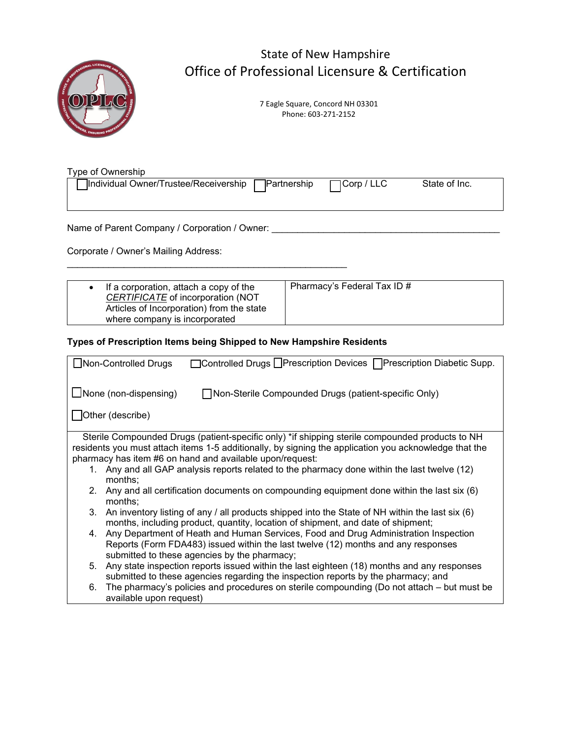

## State of New Hampshire Office of Professional Licensure & Certification

7 Eagle Square, Concord NH 03301 Phone: 603-271-2152

Type of Ownership

| Tindividual Owner/Trustee/Receivership □ Partnership | $\Box$ Corp / LLC | State of Inc. |  |
|------------------------------------------------------|-------------------|---------------|--|
|                                                      |                   |               |  |

Name of Parent Company / Corporation / Owner: \_\_\_\_\_\_\_\_\_\_\_\_\_\_\_\_\_\_\_\_\_\_\_\_\_\_\_\_\_\_\_\_\_\_\_\_\_\_\_\_\_\_\_\_

Corporate / Owner's Mailing Address:

| If a corporation, attach a copy of the<br>CERTIFICATE of incorporation (NOT<br>Articles of Incorporation) from the state<br>where company is incorporated | Pharmacy's Federal Tax ID # |
|-----------------------------------------------------------------------------------------------------------------------------------------------------------|-----------------------------|
|-----------------------------------------------------------------------------------------------------------------------------------------------------------|-----------------------------|

**Types of Prescription Items being Shipped to New Hampshire Residents**

\_\_\_\_\_\_\_\_\_\_\_\_\_\_\_\_\_\_\_\_\_\_\_\_\_\_\_\_\_\_\_\_\_\_\_\_\_\_\_\_\_\_\_\_\_\_\_\_\_\_\_\_\_\_

| □Controlled Drugs LPrescription Devices   Prescription Diabetic Supp.<br>□Non-Controlled Drugs        |  |  |  |  |  |
|-------------------------------------------------------------------------------------------------------|--|--|--|--|--|
| $\Box$ None (non-dispensing)<br>Non-Sterile Compounded Drugs (patient-specific Only)                  |  |  |  |  |  |
|                                                                                                       |  |  |  |  |  |
| Other (describe)                                                                                      |  |  |  |  |  |
| Sterile Compounded Drugs (patient-specific only) *if shipping sterile compounded products to NH       |  |  |  |  |  |
| residents you must attach items 1-5 additionally, by signing the application you acknowledge that the |  |  |  |  |  |
| pharmacy has item #6 on hand and available upon/request:                                              |  |  |  |  |  |
| 1. Any and all GAP analysis reports related to the pharmacy done within the last twelve (12)          |  |  |  |  |  |
| months;                                                                                               |  |  |  |  |  |
| Any and all certification documents on compounding equipment done within the last six (6)<br>2.       |  |  |  |  |  |
| months;                                                                                               |  |  |  |  |  |
| An inventory listing of any / all products shipped into the State of NH within the last six (6)<br>3. |  |  |  |  |  |
| months, including product, quantity, location of shipment, and date of shipment;                      |  |  |  |  |  |
| Any Department of Heath and Human Services, Food and Drug Administration Inspection<br>4.             |  |  |  |  |  |
| Reports (Form FDA483) issued within the last twelve (12) months and any responses                     |  |  |  |  |  |
| submitted to these agencies by the pharmacy;                                                          |  |  |  |  |  |
| Any state inspection reports issued within the last eighteen (18) months and any responses<br>5.      |  |  |  |  |  |
| submitted to these agencies regarding the inspection reports by the pharmacy; and                     |  |  |  |  |  |
| The pharmacy's policies and procedures on sterile compounding (Do not attach – but must be<br>6.      |  |  |  |  |  |
| available upon request)                                                                               |  |  |  |  |  |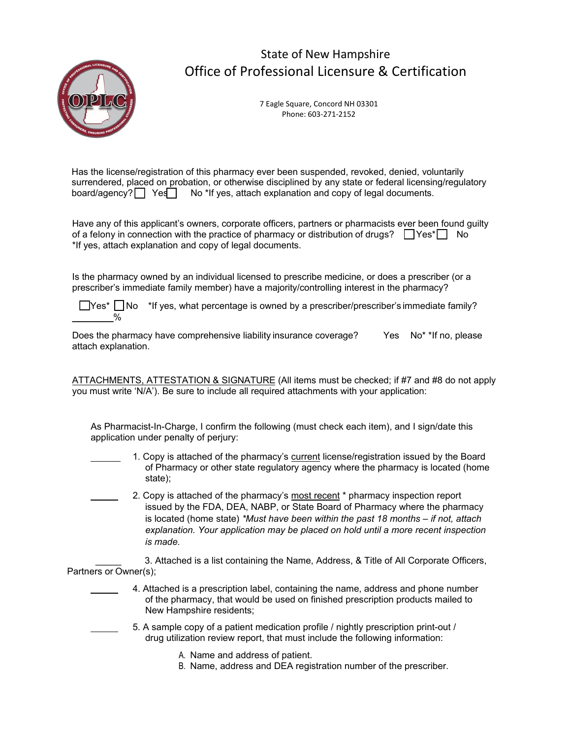

## State of New Hampshire Office of Professional Licensure & Certification

7 Eagle Square, Concord NH 03301 Phone: 603-271-2152

Has the license/registration of this pharmacy ever been suspended, revoked, denied, voluntarily surrendered, placed on probation, or otherwise disciplined by any state or federal licensing/regulatory board/agency?  $\Box$  Yes No \*If yes, attach explanation and copy of legal documents.

Have any of this applicant's owners, corporate officers, partners or pharmacists ever been found guilty of a felony in connection with the practice of pharmacy or distribution of drugs?  $\Box$  Yes<sup>\*</sup>  $\Box$  No \*If yes, attach explanation and copy of legal documents.

Is the pharmacy owned by an individual licensed to prescribe medicine, or does a prescriber (or a prescriber's immediate family member) have a majority/controlling interest in the pharmacy?

 $\Box$ Yes\*  $\Box$ No \*If yes, what percentage is owned by a prescriber/prescriber's immediate family?  $\%$ 

Does the pharmacy have comprehensive liability insurance coverage? Yes No<sup>\*</sup> \*If no, please attach explanation.

ATTACHMENTS, ATTESTATION & SIGNATURE (All items must be checked; if #7 and #8 do not apply you must write 'N/A'). Be sure to include all required attachments with your application:

As Pharmacist-In-Charge, I confirm the following (must check each item), and I sign/date this application under penalty of perjury:

- 1. Copy is attached of the pharmacy's current license/registration issued by the Board of Pharmacy or other state regulatory agency where the pharmacy is located (home state);
- 2. Copy is attached of the pharmacy's most recent \* pharmacy inspection report issued by the FDA, DEA, NABP, or State Board of Pharmacy where the pharmacy is located (home state) *\*Must have been within the past 18 months – if not, attach explanation. Your application may be placed on hold until a more recent inspection is made.*

3. Attached is a list containing the Name, Address, & Title of All Corporate Officers, Partners or Owner(s);

- 4. Attached is a prescription label, containing the name, address and phone number of the pharmacy, that would be used on finished prescription products mailed to New Hampshire residents;
	- 5. A sample copy of a patient medication profile / nightly prescription print-out / drug utilization review report, that must include the following information:
		- A. Name and address of patient.
		- B. Name, address and DEA registration number of the prescriber.